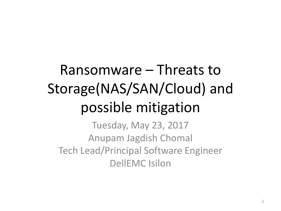### Ransomware – Threats to Storage(NAS/SAN/Cloud) and possible mitigation

Tuesday, May 23, 2017 Anupam Jagdish Chomal Tech Lead/Principal Software Engineer DellEMC Isilon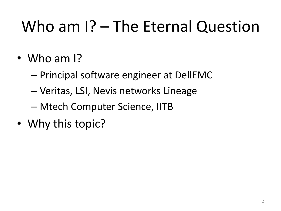## Who am I? – The Eternal Question

- Who am I?
	- Principal software engineer at DellEMC
	- Veritas, LSI, Nevis networks Lineage
	- Mtech Computer Science, IITB
- Why this topic?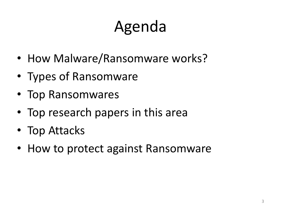## Agenda

- How Malware/Ransomware works?
- Types of Ransomware
- Top Ransomwares
- Top research papers in this area
- Top Attacks
- How to protect against Ransomware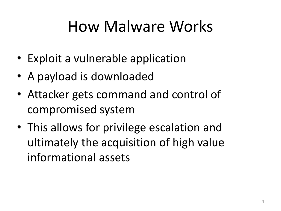### How Malware Works

- Exploit a vulnerable application
- A payload is downloaded
- Attacker gets command and control of compromised system
- This allows for privilege escalation and ultimately the acquisition of high value informational assets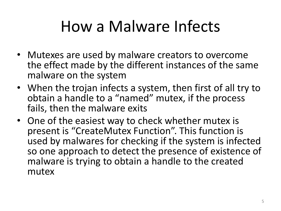### How a Malware Infects

- Mutexes are used by malware creators to overcome the effect made by the different instances of the same malware on the system
- When the trojan infects a system, then first of all try to obtain a handle to a "named" mutex, if the process fails, then the malware exits
- One of the easiest way to check whether mutex is present is "CreateMutex Function". This function is used by malwares for checking if the system is infected so one approach to detect the presence of existence of malware is trying to obtain a handle to the created mutex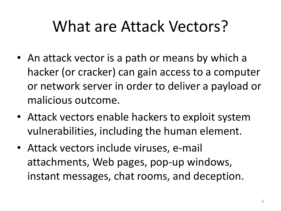### What are Attack Vectors?

- An attack vector is a path or means by which a hacker (or cracker) can gain access to a computer or network server in order to deliver a payload or malicious outcome.
- Attack vectors enable hackers to exploit system vulnerabilities, including the human element.
- Attack vectors include viruses, e-mail attachments, Web pages, pop-up windows, instant messages, chat rooms, and deception.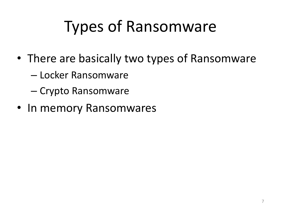## Types of Ransomware

- There are basically two types of Ransomware
	- Locker Ransomware
	- Crypto Ransomware
- In memory Ransomwares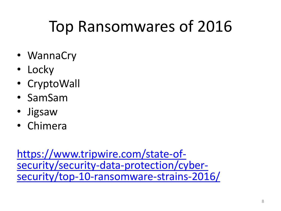### Top Ransomwares of 2016

- WannaCry
- Locky
- CryptoWall
- SamSam
- Jigsaw
- Chimera

[https://www.tripwire.com/state-of](https://www.tripwire.com/state-of-security/security-data-protection/cyber-security/top-10-ransomware-strains-2016/)[security/security-data-protection/cyber](https://www.tripwire.com/state-of-security/security-data-protection/cyber-security/top-10-ransomware-strains-2016/)[security/top-10-ransomware-strains-2016/](https://www.tripwire.com/state-of-security/security-data-protection/cyber-security/top-10-ransomware-strains-2016/)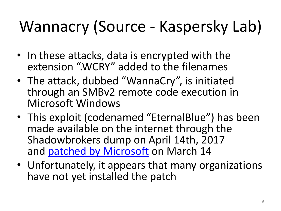# Wannacry (Source - Kaspersky Lab)

- In these attacks, data is encrypted with the extension ".WCRY" added to the filenames
- The attack, dubbed "WannaCry", is initiated through an SMBv2 remote code execution in Microsoft Windows
- This exploit (codenamed "EternalBlue") has been made available on the internet through the Shadowbrokers dump on April 14th, 2017 and **[patched by Microsoft](https://technet.microsoft.com/en-us/library/security/ms17-010.aspx) on March 14**
- Unfortunately, it appears that many organizations have not yet installed the patch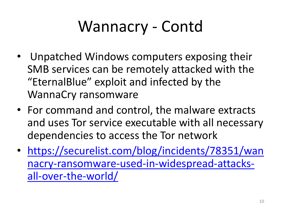## Wannacry - Contd

- Unpatched Windows computers exposing their SMB services can be remotely attacked with the "EternalBlue" exploit and infected by the WannaCry ransomware
- For command and control, the malware extracts and uses Tor service executable with all necessary dependencies to access the Tor network
- [https://securelist.com/blog/incidents/78351/wan](https://securelist.com/blog/incidents/78351/wannacry-ransomware-used-in-widespread-attacks-all-over-the-world/) [nacry-ransomware-used-in-widespread-attacks](https://securelist.com/blog/incidents/78351/wannacry-ransomware-used-in-widespread-attacks-all-over-the-world/)[all-over-the-world/](https://securelist.com/blog/incidents/78351/wannacry-ransomware-used-in-widespread-attacks-all-over-the-world/)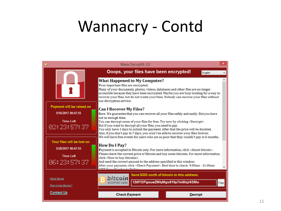#### Wannacry - Contd

|                            | Wana Decrypt0r 2.0                                                                                                                                                                                                                                                                                                                                                         |  |
|----------------------------|----------------------------------------------------------------------------------------------------------------------------------------------------------------------------------------------------------------------------------------------------------------------------------------------------------------------------------------------------------------------------|--|
|                            | Ooops, your files have been encrypted!<br>English                                                                                                                                                                                                                                                                                                                          |  |
|                            | <b>What Happened to My Computer?</b><br>Your important files are encrypted.<br>Many of your documents, photos, videos, databases and other files are no longer<br>accessible because they have been encrypted. Maybe you are busy looking for a way to<br>recover your files, but do not waste your time. Nobody can recover your files without<br>our decryption service. |  |
| Payment will be raised on  | <b>Can I Recover My Files?</b>                                                                                                                                                                                                                                                                                                                                             |  |
| 5/16/2017 00:47:55         | Sure. We guarantee that you can recover all your files safely and easily. But you have                                                                                                                                                                                                                                                                                     |  |
| <b>Time Left</b>           | not so enough time.<br>You can decrypt some of your files for free. Try now by clicking <decrypt>.</decrypt>                                                                                                                                                                                                                                                               |  |
| 02:23:57:37                | But if you want to decrypt all your files, you need to pay.<br>You only have 3 days to submit the payment. After that the price will be doubled.<br>Also, if you don't pay in 7 days, you won't be able to recover your files forever.                                                                                                                                     |  |
| Your files will be lost on | We will have free events for users who are so poor that they couldn't pay in 6 months.                                                                                                                                                                                                                                                                                     |  |
| 5/20/2017 00:47:55         | <b>How Do I Pay?</b><br>Payment is accepted in Bitcoin only. For more information, click <about bitcoin="">.</about>                                                                                                                                                                                                                                                       |  |
| <b>Time Left</b>           | Please check the current price of Bitcoin and buy some bitcoins. For more information,<br>click <how bitcoins="" buy="" to="">.</how>                                                                                                                                                                                                                                      |  |
| 86:23:57:37                | And send the correct amount to the address specified in this window.<br>After your payment, click <check payment="">. Best time to check: 9:00am - 11:00am<br/><b>I'D Concert Manual Concert Postala</b></check>                                                                                                                                                           |  |
|                            | Send \$300 worth of bitcoin to this address:                                                                                                                                                                                                                                                                                                                               |  |
| <b>About bitcoin</b>       | hitcoin<br>12t9YDPgwueZ9NyMgw519p7AA8isjr6SMw<br><b>ACCEPTED HERE</b><br>Copy                                                                                                                                                                                                                                                                                              |  |
| How to buy bitcoins?       |                                                                                                                                                                                                                                                                                                                                                                            |  |
| <b>Contact Us</b>          | <b>Check Payment</b><br><b>Decrypt</b>                                                                                                                                                                                                                                                                                                                                     |  |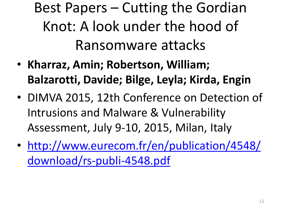Best Papers – Cutting the Gordian Knot: A look under the hood of Ransomware attacks

- **Kharraz, Amin; Robertson, William; Balzarotti, Davide; Bilge, Leyla; Kirda, Engin**
- DIMVA 2015, 12th Conference on Detection of Intrusions and Malware & Vulnerability Assessment, July 9-10, 2015, Milan, Italy
- [http://www.eurecom.fr/en/publication/4548/](http://www.eurecom.fr/en/publication/4548/download/rs-publi-4548.pdf) [download/rs-publi-4548.pdf](http://www.eurecom.fr/en/publication/4548/download/rs-publi-4548.pdf)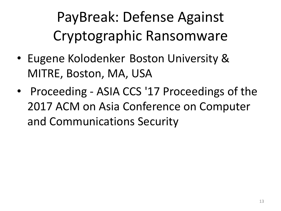PayBreak: Defense Against Cryptographic Ransomware

- Eugene Kolodenker Boston University & MITRE, Boston, MA, USA
- Proceeding ASIA CCS '17 Proceedings of the 2017 ACM on Asia Conference on Computer and Communications Security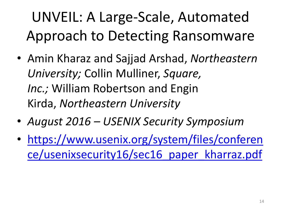### UNVEIL: A Large-Scale, Automated Approach to Detecting Ransomware

- Amin Kharaz and Sajjad Arshad, *Northeastern University;* Collin Mulliner, *Square, Inc.;* William Robertson and Engin Kirda, *Northeastern University*
- *August 2016 – USENIX Security Symposium*
- [https://www.usenix.org/system/files/conferen](https://www.usenix.org/system/files/conference/usenixsecurity16/sec16_paper_kharraz.pdf) [ce/usenixsecurity16/sec16\\_paper\\_kharraz.pdf](https://www.usenix.org/system/files/conference/usenixsecurity16/sec16_paper_kharraz.pdf)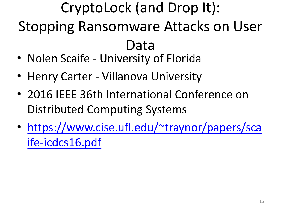### CryptoLock (and Drop It): Stopping Ransomware Attacks on User Data

- Nolen Scaife University of Florida
- Henry Carter Villanova University
- 2016 IEEE 36th International Conference on Distributed Computing Systems
- [https://www.cise.ufl.edu/~traynor/papers/sca](https://www.cise.ufl.edu/~traynor/papers/scaife-icdcs16.pdf) [ife-icdcs16.pdf](https://www.cise.ufl.edu/~traynor/papers/scaife-icdcs16.pdf)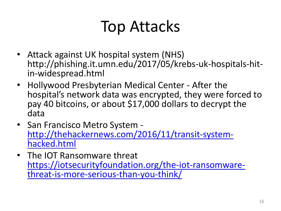## Top Attacks

- Attack against UK hospital system (NHS) http://phishing.it.umn.edu/2017/05/krebs-uk-hospitals-hitin-widespread.html
- Hollywood Presbyterian Medical Center After the hospital's network data was encrypted, they were forced to pay 40 bitcoins, or about \$17,000 dollars to decrypt the data
- San Francisco Metro System [http://thehackernews.com/2016/11/transit-system](http://thehackernews.com/2016/11/transit-system-hacked.html)[hacked.html](http://thehackernews.com/2016/11/transit-system-hacked.html)
- The IOT Ransomware threat [https://iotsecurityfoundation.org/the-iot-ransomware](https://iotsecurityfoundation.org/the-iot-ransomware-threat-is-more-serious-than-you-think/)[threat-is-more-serious-than-you-think/](https://iotsecurityfoundation.org/the-iot-ransomware-threat-is-more-serious-than-you-think/)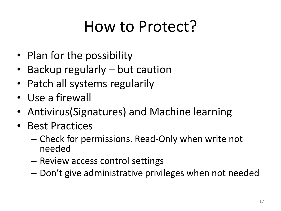### How to Protect?

- Plan for the possibility
- Backup regularly but caution
- Patch all systems regularily
- Use a firewall
- Antivirus(Signatures) and Machine learning
- Best Practices
	- Check for permissions. Read-Only when write not needed
	- Review access control settings
	- Don't give administrative privileges when not needed